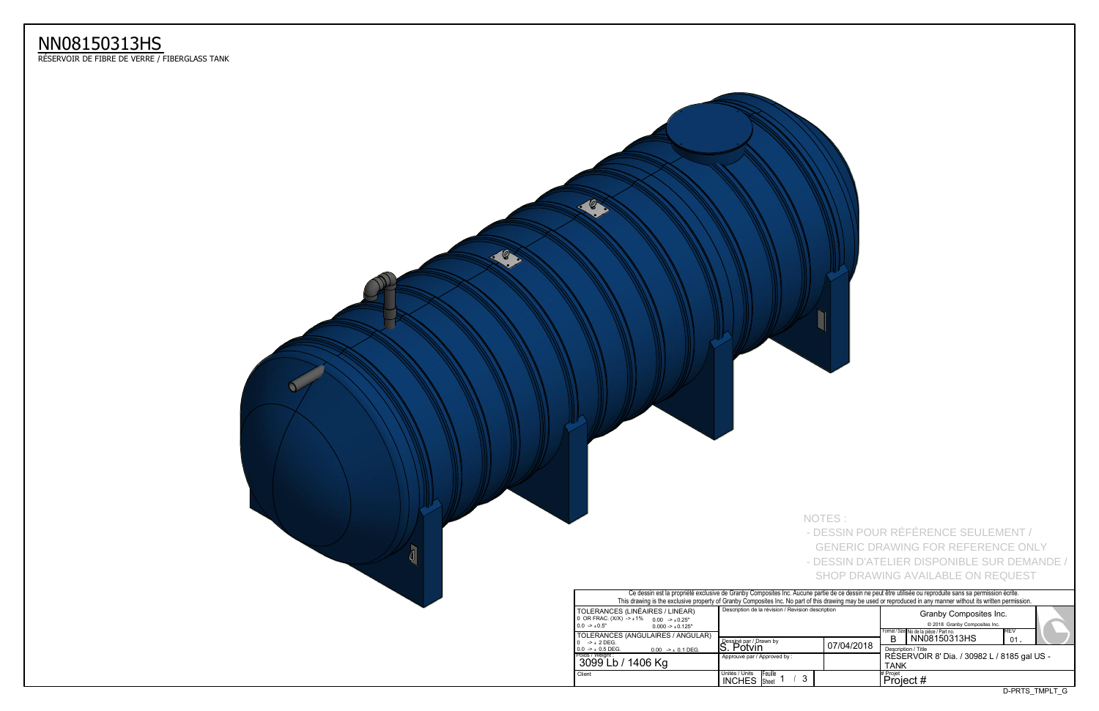## NN08150313HS<br>RÉSERVOIR DE FIBRE DE VERRE / FIBERGLASS TANK



|                                                                                                                                                                                  | - DESSIN POUR RÉFÉRENCE SEULEMENT /<br><b>GENERIC DRAWING FOR REFERENCE ONLY</b> |            |                                                                                                                                 |                                                                                         |     |  |  |  |  |  |  |  |
|----------------------------------------------------------------------------------------------------------------------------------------------------------------------------------|----------------------------------------------------------------------------------|------------|---------------------------------------------------------------------------------------------------------------------------------|-----------------------------------------------------------------------------------------|-----|--|--|--|--|--|--|--|
|                                                                                                                                                                                  |                                                                                  |            |                                                                                                                                 | - DESSIN D'ATELIER DISPONIBLE SUR DEMANDE /<br><b>SHOP DRAWING AVAILABLE ON REQUEST</b> |     |  |  |  |  |  |  |  |
| ne partie de ce dessin ne peut être utilisée ou reproduite sans sa permission écrite.<br>of this drawing may be used or reproduced in any manner without its written permission. |                                                                                  |            |                                                                                                                                 |                                                                                         |     |  |  |  |  |  |  |  |
| description                                                                                                                                                                      |                                                                                  |            | Granby Composites Inc.<br>© 2018 Granby Composites Inc.<br>Format / Size No de la pièce / Part no.<br>REV<br>NN08150313HS<br>B. |                                                                                         |     |  |  |  |  |  |  |  |
|                                                                                                                                                                                  |                                                                                  |            |                                                                                                                                 |                                                                                         |     |  |  |  |  |  |  |  |
|                                                                                                                                                                                  |                                                                                  | 07/04/2018 |                                                                                                                                 | Description / Title<br>RÉSERVOIR 8' Dia. / 30982 L / 8185 gal US -                      | 01. |  |  |  |  |  |  |  |
|                                                                                                                                                                                  |                                                                                  |            | <b>TANK</b><br># Projet<br>Project #                                                                                            |                                                                                         |     |  |  |  |  |  |  |  |

- 
- NOTES:
- 
- 
- 
- -
- 
- 
- -
	-
	-
	-
	-
	-
	-
	-
	-
	-
	-
	-
	- -
		-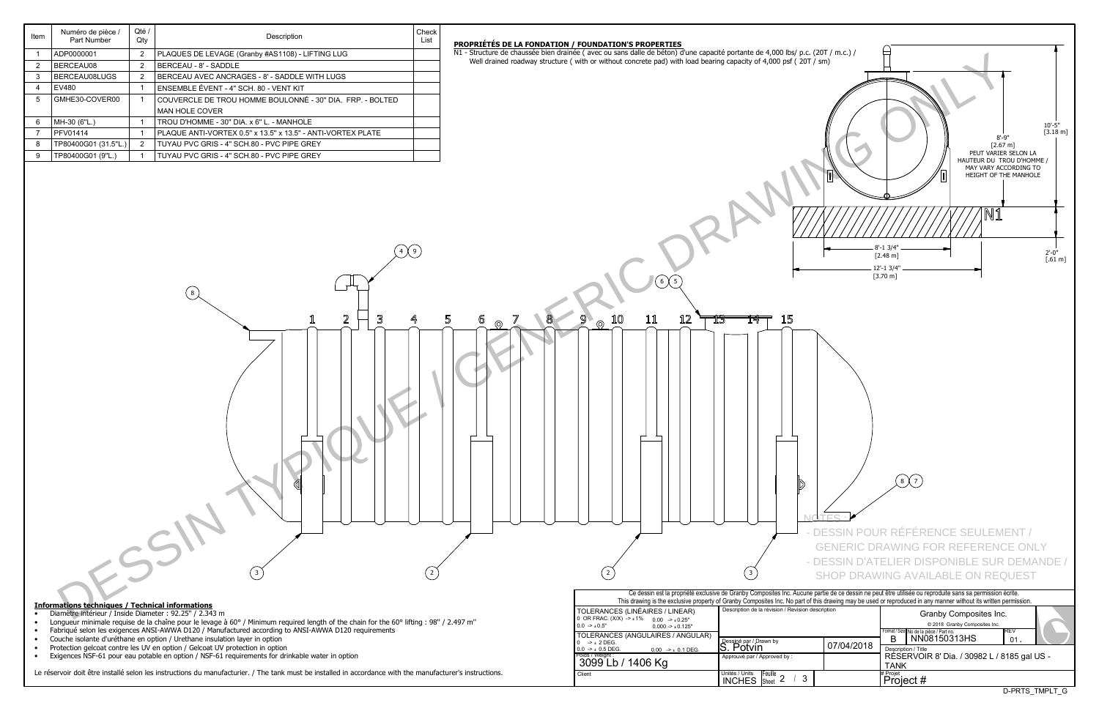| Item           | Numéro de pièce /<br>Part Number | Qté<br>Qty     | Description                                                 | Check<br>List | <b>PROPRIÉTÉS I</b> |
|----------------|----------------------------------|----------------|-------------------------------------------------------------|---------------|---------------------|
|                | ADP0000001                       | 2              | PLAQUES DE LEVAGE (Granby #AS1108) - LIFTING LUG            |               | N1 - Structure d    |
| $\overline{2}$ | BERCEAU08                        | 2              | BERCEAU - 8' - SADDLE                                       |               | Well draine         |
| 3              | BERCEAU08LUGS                    | $\overline{2}$ | BERCEAU AVEC ANCRAGES - 8' - SADDLE WITH LUGS               |               |                     |
| 4              | EV480                            |                | ENSEMBLE ÉVENT - 4" SCH. 80 - VENT KIT                      |               |                     |
| 5              | GMHE30-COVER00                   |                | COUVERCLE DE TROU HOMME BOULONNÉ - 30" DIA. FRP. - BOLTED   |               |                     |
|                |                                  |                | <b>MAN HOLE COVER</b>                                       |               |                     |
| 6              | MH-30 (6"L.)                     |                | TROU D'HOMME - 30" DIA. x 6" L. - MANHOLE                   |               |                     |
|                | PFV01414                         |                | PLAQUE ANTI-VORTEX 0.5" x 13.5" x 13.5" - ANTI-VORTEX PLATE |               |                     |
| 8              | TP80400G01 (31.5"L.)             | $\overline{2}$ | TUYAU PVC GRIS - 4" SCH 80 - PVC PIPE GREY                  |               |                     |
| 9              | TP80400G01 (9"L.)                |                | TUYAU PVC GRIS - 4" SCH.80 - PVC PIPE GREY                  |               |                     |
|                |                                  |                |                                                             |               |                     |

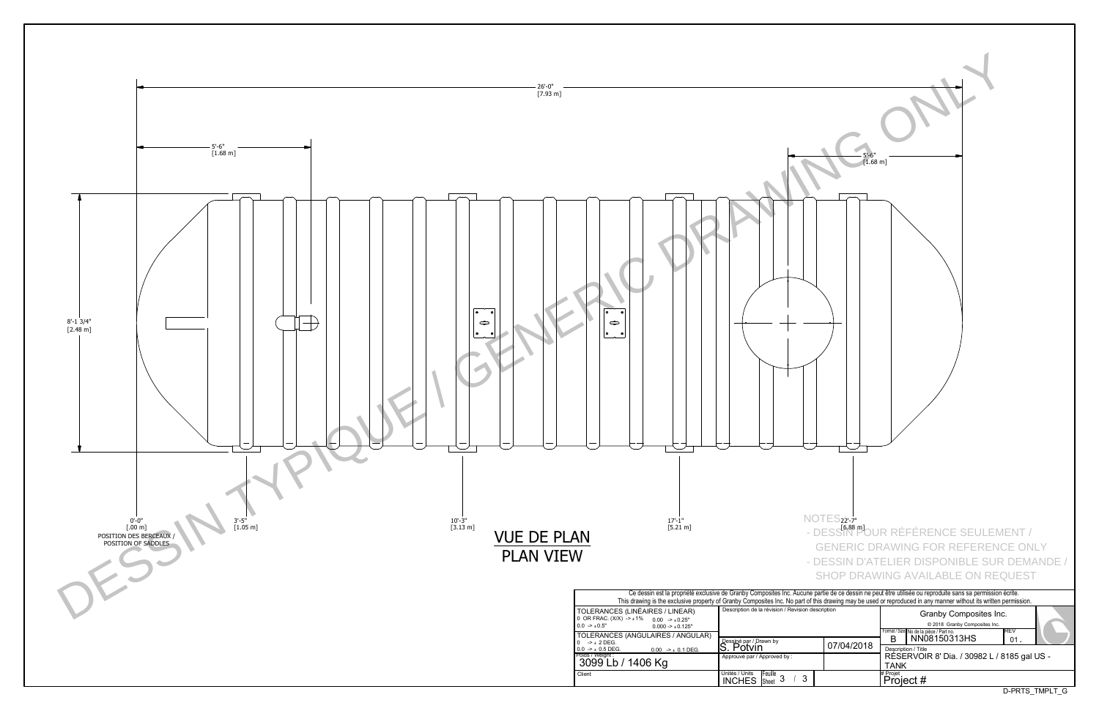

| $\bullet$<br>$\bullet$                                                                                |                                                                     | $5' - 6''$<br>$[1.68 \; m]$ |                                                                                                                                                                                                                                                                                                                              |
|-------------------------------------------------------------------------------------------------------|---------------------------------------------------------------------|-----------------------------|------------------------------------------------------------------------------------------------------------------------------------------------------------------------------------------------------------------------------------------------------------------------------------------------------------------------------|
| $17 - 1"$<br>$[5.21 \; m]$                                                                            |                                                                     | $NOTES_{22}$ -7"            | - DESSIN POUR RÉFÉRENCE SEULEMENT /<br><b>GENERIC DRAWING FOR REFERENCE ONLY</b><br>- DESSIN D'ATELIER DISPONIBLE SUR DEMANDE /<br><b>SHOP DRAWING AVAILABLE ON REQUEST</b>                                                                                                                                                  |
| S (LINÉAIRES / LINEAR)                                                                                | Description de la révision / Revision description                   |                             | Ce dessin est la propriété exclusive de Granby Composites Inc. Aucune partie de ce dessin ne peut être utilisée ou reproduite sans sa permission écrite.<br>This drawing is the exclusive property of Granby Composites Inc. No part of this drawing may be used or reproduced in any manner without its written permission. |
| $X) -\pm 1\%$<br>$0.00$ -> $\pm 0.25$ "<br>$0.000 \rightarrow \pm 0.125"$<br>S (ANGULAIRES / ANGULAR) |                                                                     |                             | Granby Composites Inc.<br>© 2018 Granby Composites Inc.<br>Format / Size No de la pièce / Part no.<br>REV                                                                                                                                                                                                                    |
| $0.00$ -> $\pm$ 0.1 DEG.                                                                              | Dessiné par / Drawn by<br>S. Potvin<br>Approuvé par / Approved by : | 07/04/2018                  | NN08150313HS<br>В<br>01.<br>Description / Title                                                                                                                                                                                                                                                                              |
| / 1406 Kg                                                                                             | Unités / Units                                                      |                             | RÉSERVOIR 8' Dia. / 30982 L / 8185 gal US -<br><b>TANK</b><br># Projet                                                                                                                                                                                                                                                       |
|                                                                                                       | Feuille 3<br>$\mathfrak{Z}$<br><b>INCHES</b>                        |                             | Project #<br>D-PRTS_TMPLT_G                                                                                                                                                                                                                                                                                                  |